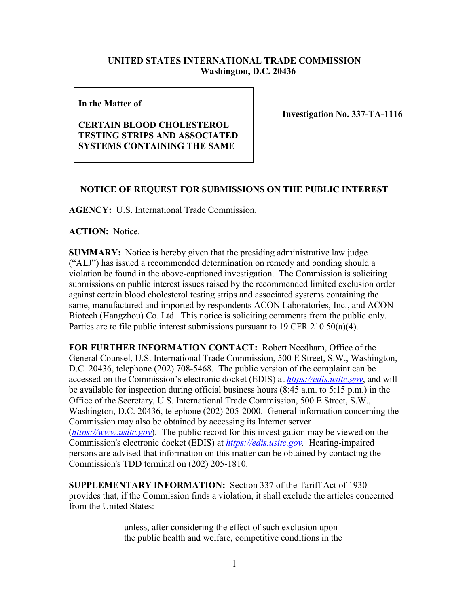## **UNITED STATES INTERNATIONAL TRADE COMMISSION Washington, D.C. 20436**

**In the Matter of** 

## **CERTAIN BLOOD CHOLESTEROL TESTING STRIPS AND ASSOCIATED SYSTEMS CONTAINING THE SAME**

**Investigation No. 337-TA-1116**

## **NOTICE OF REQUEST FOR SUBMISSIONS ON THE PUBLIC INTEREST**

**AGENCY:** U.S. International Trade Commission.

**ACTION:** Notice.

**SUMMARY:** Notice is hereby given that the presiding administrative law judge ("ALJ") has issued a recommended determination on remedy and bonding should a violation be found in the above-captioned investigation. The Commission is soliciting submissions on public interest issues raised by the recommended limited exclusion order against certain blood cholesterol testing strips and associated systems containing the same, manufactured and imported by respondents ACON Laboratories, Inc., and ACON Biotech (Hangzhou) Co. Ltd. This notice is soliciting comments from the public only. Parties are to file public interest submissions pursuant to 19 CFR 210.50(a)(4).

**FOR FURTHER INFORMATION CONTACT:** Robert Needham, Office of the General Counsel, U.S. International Trade Commission, 500 E Street, S.W., Washington, D.C. 20436, telephone (202) 708-5468. The public version of the complaint can be accessed on the Commission's electronic docket (EDIS) at *[https://edis.usitc.gov](https://edis.usitc.gov/)*, and will be available for inspection during official business hours (8:45 a.m. to 5:15 p.m.) in the Office of the Secretary, U.S. International Trade Commission, 500 E Street, S.W., Washington, D.C. 20436, telephone (202) 205-2000. General information concerning the Commission may also be obtained by accessing its Internet server (*[https://www.usitc.gov](https://www.usitc.gov/)*). The public record for this investigation may be viewed on the Commission's electronic docket (EDIS) at *[https://edis.usitc.gov.](https://edis.usitc.gov/)* Hearing-impaired persons are advised that information on this matter can be obtained by contacting the Commission's TDD terminal on (202) 205-1810.

**SUPPLEMENTARY INFORMATION:** Section 337 of the Tariff Act of 1930 provides that, if the Commission finds a violation, it shall exclude the articles concerned from the United States:

> unless, after considering the effect of such exclusion upon the public health and welfare, competitive conditions in the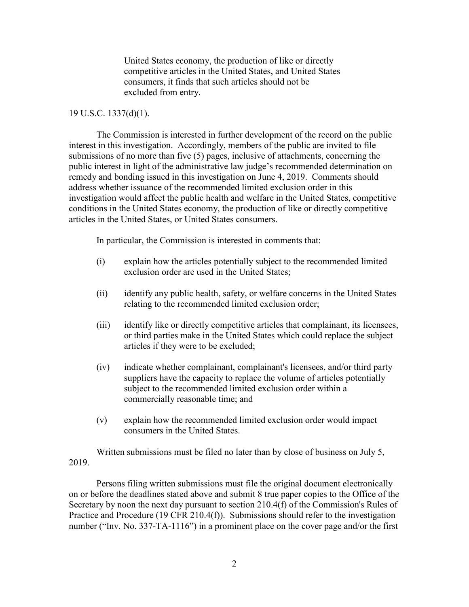United States economy, the production of like or directly competitive articles in the United States, and United States consumers, it finds that such articles should not be excluded from entry.

## 19 U.S.C. 1337(d)(1).

The Commission is interested in further development of the record on the public interest in this investigation. Accordingly, members of the public are invited to file submissions of no more than five (5) pages, inclusive of attachments, concerning the public interest in light of the administrative law judge's recommended determination on remedy and bonding issued in this investigation on June 4, 2019.Comments should address whether issuance of the recommended limited exclusion order in this investigation would affect the public health and welfare in the United States, competitive conditions in the United States economy, the production of like or directly competitive articles in the United States, or United States consumers.

In particular, the Commission is interested in comments that:

- (i) explain how the articles potentially subject to the recommended limited exclusion order are used in the United States;
- (ii) identify any public health, safety, or welfare concerns in the United States relating to the recommended limited exclusion order;
- (iii) identify like or directly competitive articles that complainant, its licensees, or third parties make in the United States which could replace the subject articles if they were to be excluded;
- (iv) indicate whether complainant, complainant's licensees, and/or third party suppliers have the capacity to replace the volume of articles potentially subject to the recommended limited exclusion order within a commercially reasonable time; and
- (v) explain how the recommended limited exclusion order would impact consumers in the United States.

Written submissions must be filed no later than by close of business on July 5, 2019.

Persons filing written submissions must file the original document electronically on or before the deadlines stated above and submit 8 true paper copies to the Office of the Secretary by noon the next day pursuant to section 210.4(f) of the Commission's Rules of Practice and Procedure (19 CFR 210.4(f)). Submissions should refer to the investigation number ("Inv. No. 337-TA-1116") in a prominent place on the cover page and/or the first